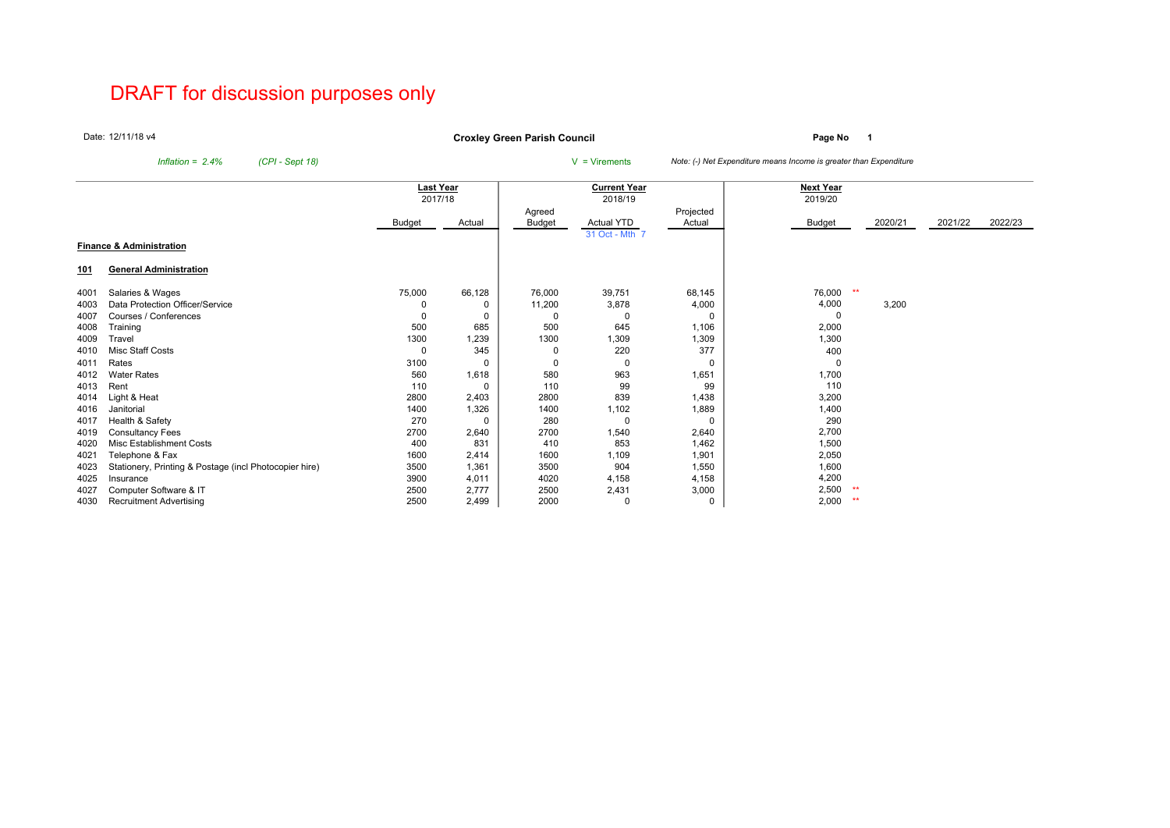# DRAFT for discussion purposes only

Date:12/11/18 v4

**Page No <sup>1</sup> Croxley Green Parish Council**

*Inflation = 2.4% (CPI - Sept 18)* <sup>V</sup> = Virements *Note: (-) Net Expenditure means Income is greater than Expenditure*

|            |                                                        | <b>Last Year</b> |        |          | <b>Current Year</b> |             | <b>Next Year</b> |         |         |         |
|------------|--------------------------------------------------------|------------------|--------|----------|---------------------|-------------|------------------|---------|---------|---------|
|            |                                                        | 2017/18          |        |          | 2018/19             |             | 2019/20          |         |         |         |
|            |                                                        |                  |        | Agreed   |                     | Projected   |                  |         |         |         |
|            |                                                        | Budget           | Actual | Budget   | <b>Actual YTD</b>   | Actual      | <b>Budget</b>    | 2020/21 | 2021/22 | 2022/23 |
|            |                                                        |                  |        |          | 31 Oct - Mth 7      |             |                  |         |         |         |
|            | <b>Finance &amp; Administration</b>                    |                  |        |          |                     |             |                  |         |         |         |
|            |                                                        |                  |        |          |                     |             |                  |         |         |         |
| <u>101</u> | <b>General Administration</b>                          |                  |        |          |                     |             |                  |         |         |         |
| 4001       | Salaries & Wages                                       | 75,000           | 66,128 | 76,000   | 39,751              | 68,145      | 76,000           | $***$   |         |         |
| 4003       | Data Protection Officer/Service                        |                  |        | 11,200   | 3,878               | 4,000       | 4,000            | 3,200   |         |         |
| 4007       | Courses / Conferences                                  | 0                |        | $\Omega$ | $\Omega$            | $\Omega$    | $\Omega$         |         |         |         |
| 4008       | Training                                               | 500              | 685    | 500      | 645                 | 1,106       | 2,000            |         |         |         |
| 4009       | Travel                                                 | 1300             | 1,239  | 1300     | 1,309               | 1,309       | 1,300            |         |         |         |
| 4010       | Misc Staff Costs                                       | $\Omega$         | 345    | 0        | 220                 | 377         | 400              |         |         |         |
| 4011       | Rates                                                  | 3100             | O      | 0        | $\mathbf 0$         | $\Omega$    | 0                |         |         |         |
| 4012       | <b>Water Rates</b>                                     | 560              | 1,618  | 580      | 963                 | 1,651       | 1,700            |         |         |         |
| 4013       | Rent                                                   | 110              |        | 110      | 99                  | 99          | 110              |         |         |         |
| 4014       | Light & Heat                                           | 2800             | 2,403  | 2800     | 839                 | 1,438       | 3,200            |         |         |         |
| 4016       | Janitorial                                             | 1400             | 1,326  | 1400     | 1,102               | 1,889       | 1,400            |         |         |         |
| 4017       | Health & Safety                                        | 270              | ŋ      | 280      | $\Omega$            | $\Omega$    | 290              |         |         |         |
| 4019       | <b>Consultancy Fees</b>                                | 2700             | 2,640  | 2700     | 1,540               | 2,640       | 2,700            |         |         |         |
| 4020       | Misc Establishment Costs                               | 400              | 831    | 410      | 853                 | 1,462       | 1,500            |         |         |         |
| 4021       | Telephone & Fax                                        | 1600             | 2,414  | 1600     | 1,109               | 1,901       | 2,050            |         |         |         |
| 4023       | Stationery, Printing & Postage (incl Photocopier hire) | 3500             | 1,361  | 3500     | 904                 | 1,550       | 1,600            |         |         |         |
| 4025       | Insurance                                              | 3900             | 4,011  | 4020     | 4,158               | 4,158       | 4,200            |         |         |         |
| 4027       | Computer Software & IT                                 | 2500             | 2,777  | 2500     | 2,431               | 3,000       | 2,500            |         |         |         |
| 4030       | <b>Recruitment Advertising</b>                         | 2500             | 2,499  | 2000     | 0                   | $\mathbf 0$ | 2,000            | **      |         |         |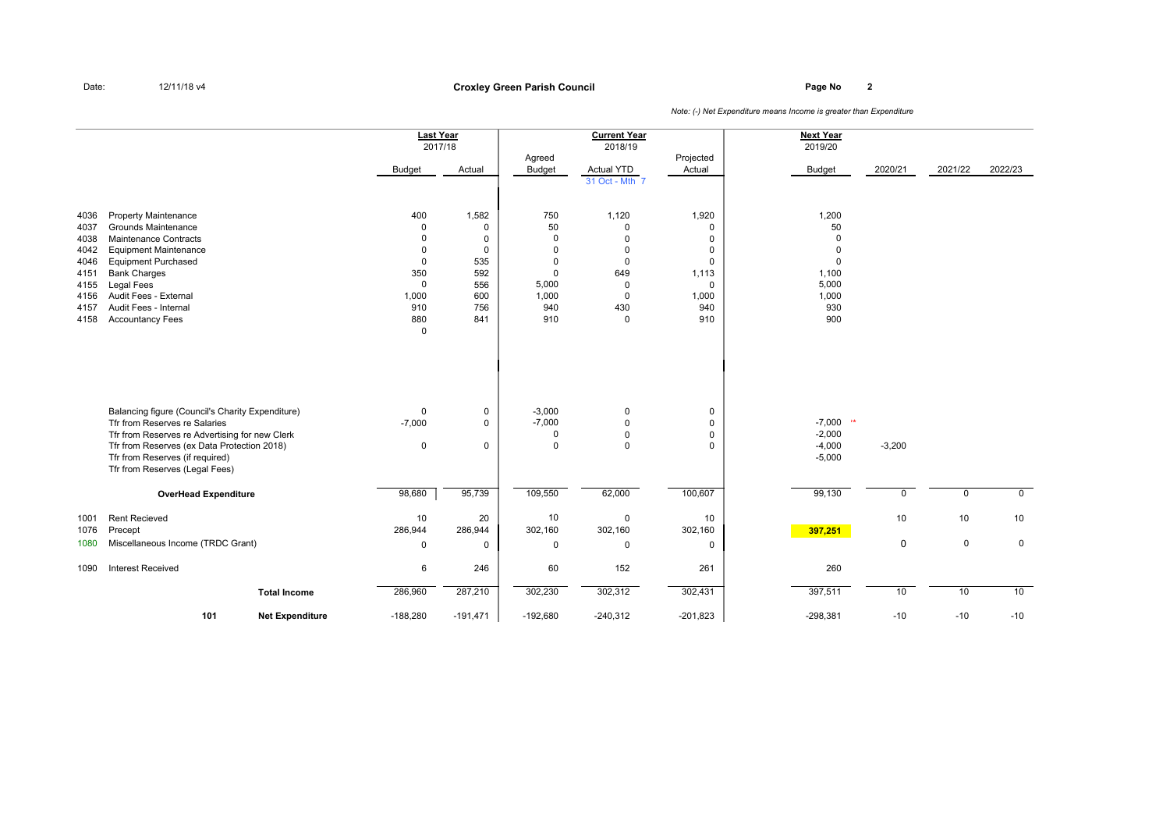**Page No <sup>2</sup> Croxley Green Parish Council**

|                                                                              |                                                                                                                                                                                                                                                                    | <b>Last Year</b>                                                                                                              | 2017/18                                                                                      |                                                                                              | <b>Current Year</b><br>2018/19                                                       |                                                                                                  | <b>Next Year</b><br>2019/20                                                              |             |                   |                   |
|------------------------------------------------------------------------------|--------------------------------------------------------------------------------------------------------------------------------------------------------------------------------------------------------------------------------------------------------------------|-------------------------------------------------------------------------------------------------------------------------------|----------------------------------------------------------------------------------------------|----------------------------------------------------------------------------------------------|--------------------------------------------------------------------------------------|--------------------------------------------------------------------------------------------------|------------------------------------------------------------------------------------------|-------------|-------------------|-------------------|
|                                                                              |                                                                                                                                                                                                                                                                    | <b>Budget</b>                                                                                                                 | Actual                                                                                       | Agreed<br><b>Budget</b>                                                                      | <b>Actual YTD</b><br>31 Oct - Mth 7                                                  | Projected<br>Actual                                                                              | <b>Budget</b>                                                                            | 2020/21     | 2021/22           | 2022/23           |
| 4036<br>4037<br>4038<br>4042<br>4046<br>4151<br>4155<br>4156<br>4157<br>4158 | <b>Property Maintenance</b><br><b>Grounds Maintenance</b><br>Maintenance Contracts<br><b>Equipment Maintenance</b><br><b>Equipment Purchased</b><br><b>Bank Charges</b><br>Legal Fees<br>Audit Fees - External<br>Audit Fees - Internal<br><b>Accountancy Fees</b> | 400<br>$\mathbf{0}$<br>$\mathbf 0$<br>$\mathbf 0$<br>$\mathbf 0$<br>350<br>$\mathbf 0$<br>1,000<br>910<br>880<br>$\mathbf{0}$ | 1,582<br>$\mathbf 0$<br>$\mathbf 0$<br>$\mathbf 0$<br>535<br>592<br>556<br>600<br>756<br>841 | 750<br>50<br>$\mathbf 0$<br>$\Omega$<br>$\Omega$<br>$\Omega$<br>5,000<br>1,000<br>940<br>910 | 1,120<br>$\mathbf 0$<br>0<br>0<br>0<br>649<br>$\mathbf 0$<br>0<br>430<br>$\mathbf 0$ | 1,920<br>$\Omega$<br>$\Omega$<br>0<br>$\mathbf 0$<br>1,113<br>$\mathbf 0$<br>1,000<br>940<br>910 | 1,200<br>50<br>$\Omega$<br>$\Omega$<br>$\Omega$<br>1,100<br>5,000<br>1,000<br>930<br>900 |             |                   |                   |
|                                                                              | Balancing figure (Council's Charity Expenditure)<br>Tfr from Reserves re Salaries<br>Tfr from Reserves re Advertising for new Clerk<br>Tfr from Reserves (ex Data Protection 2018)<br>Tfr from Reserves (if required)<br>Tfr from Reserves (Legal Fees)            | $\mathbf 0$<br>$-7,000$<br>$\mathsf 0$                                                                                        | 0<br>$\mathbf 0$<br>$\mathsf 0$                                                              | $-3,000$<br>$-7,000$<br>$\Omega$<br>$\Omega$                                                 | 0<br>$\mathbf 0$<br>$\mathbf 0$<br>$\mathbf 0$                                       | 0<br>$\mathbf 0$<br>$\mathbf 0$<br>$\mathbf 0$                                                   | $-7,000$ **<br>$-2,000$<br>$-4,000$<br>$-5,000$                                          | $-3,200$    |                   |                   |
|                                                                              | <b>OverHead Expenditure</b>                                                                                                                                                                                                                                        | 98,680                                                                                                                        | 95,739                                                                                       | 109,550                                                                                      | 62,000                                                                               | 100,607                                                                                          | 99,130                                                                                   | $\mathbf 0$ | $\mathbf 0$       | $\mathbf 0$       |
| 1001<br>1076<br>1080                                                         | <b>Rent Recieved</b><br>Precept<br>Miscellaneous Income (TRDC Grant)                                                                                                                                                                                               | 10<br>286,944<br>$\mathbf 0$                                                                                                  | 20<br>286,944<br>$\mathbf 0$                                                                 | 10<br>302,160<br>0                                                                           | $\mathbf 0$<br>302,160<br>$\mathbf 0$                                                | 10<br>302,160<br>$\Omega$                                                                        | 397,251                                                                                  | 10<br>0     | 10<br>$\mathsf 0$ | 10<br>$\mathbf 0$ |
| 1090                                                                         | <b>Interest Received</b>                                                                                                                                                                                                                                           | 6                                                                                                                             | 246                                                                                          | 60                                                                                           | 152                                                                                  | 261                                                                                              | 260                                                                                      |             |                   |                   |
|                                                                              | <b>Total Income</b>                                                                                                                                                                                                                                                | 286,960                                                                                                                       | 287,210                                                                                      | 302,230                                                                                      | 302,312                                                                              | 302,431                                                                                          | 397,511                                                                                  | 10          | 10                | 10                |
|                                                                              | 101<br><b>Net Expenditure</b>                                                                                                                                                                                                                                      | $-188,280$                                                                                                                    | $-191,471$                                                                                   | $-192,680$                                                                                   | $-240,312$                                                                           | $-201,823$                                                                                       | $-298,381$                                                                               | $-10$       | $-10$             | $-10$             |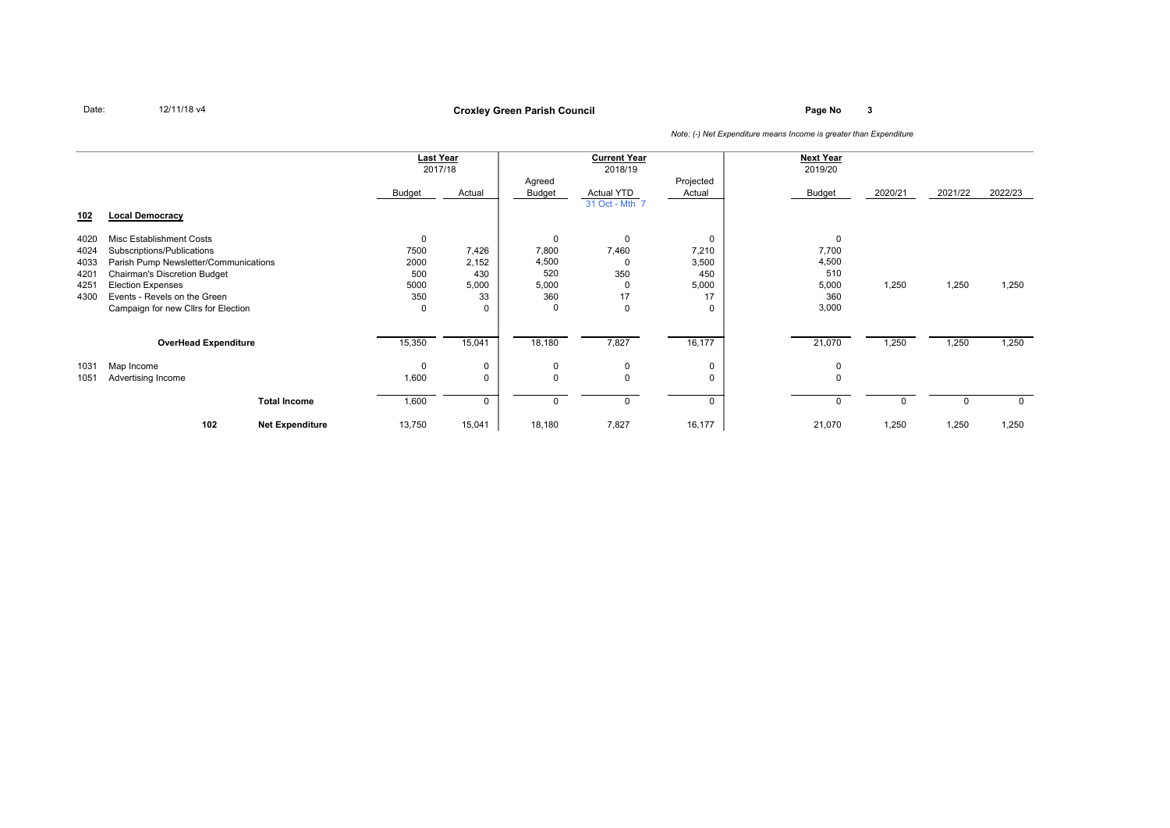**Page No <sup>3</sup> Croxley Green Parish Council**

|      |                                       |                        | <b>Last Year</b> |             |              | <b>Current Year</b> |             | <b>Next Year</b> |          |         |             |
|------|---------------------------------------|------------------------|------------------|-------------|--------------|---------------------|-------------|------------------|----------|---------|-------------|
|      |                                       |                        |                  | 2017/18     |              | 2018/19             |             | 2019/20          |          |         |             |
|      |                                       |                        |                  |             | Agreed       |                     | Projected   |                  |          |         |             |
|      |                                       |                        | Budget           | Actual      | Budget       | Actual YTD          | Actual      | Budget           | 2020/21  | 2021/22 | 2022/23     |
|      |                                       |                        |                  |             |              | 31 Oct - Mth 7      |             |                  |          |         |             |
| 102  | <b>Local Democracy</b>                |                        |                  |             |              |                     |             |                  |          |         |             |
|      |                                       |                        |                  |             |              |                     |             |                  |          |         |             |
| 4020 | Misc Establishment Costs              |                        | $\Omega$         |             | $\mathbf{0}$ | $\Omega$            | $\Omega$    | $\mathbf{0}$     |          |         |             |
| 4024 | Subscriptions/Publications            |                        | 7500             | 7,426       | 7,800        | 7,460               | 7,210       | 7,700            |          |         |             |
| 4033 | Parish Pump Newsletter/Communications |                        | 2000             | 2,152       | 4,500        | $\Omega$            | 3,500       | 4,500            |          |         |             |
| 4201 | <b>Chairman's Discretion Budget</b>   |                        | 500              | 430         | 520          | 350                 | 450         | 510              |          |         |             |
| 4251 | <b>Election Expenses</b>              |                        | 5000             | 5,000       | 5,000        | $\Omega$            | 5,000       | 5,000            | 1,250    | 1,250   | 1,250       |
| 4300 | Events - Revels on the Green          |                        | 350              | 33          | 360          | 17                  | 17          | 360              |          |         |             |
|      | Campaign for new Cllrs for Election   |                        | $\Omega$         | 0           | $\Omega$     | $\Omega$            | $\mathbf 0$ | 3,000            |          |         |             |
|      |                                       |                        |                  |             |              |                     |             |                  |          |         |             |
|      |                                       |                        |                  |             |              |                     |             |                  |          |         |             |
|      | <b>OverHead Expenditure</b>           |                        | 15,350           | 15,041      | 18,180       | 7,827               | 16,177      | 21,070           | 1,250    | 1,250   | 1,250       |
| 1031 | Map Income                            |                        | $\Omega$         | 0           | $\mathbf 0$  | $\mathbf{0}$        | $\mathbf 0$ | 0                |          |         |             |
| 1051 | Advertising Income                    |                        | 1,600            | $\mathbf 0$ | $\Omega$     | $\Omega$            | 0           | $\Omega$         |          |         |             |
|      |                                       |                        |                  |             |              |                     |             |                  |          |         |             |
|      |                                       | <b>Total Income</b>    | 1,600            | $\mathbf 0$ | $\Omega$     | $\Omega$            | $\Omega$    | $\mathbf 0$      | $\Omega$ | O       | $\mathbf 0$ |
|      |                                       |                        |                  |             |              |                     |             |                  |          |         |             |
|      | 102                                   | <b>Net Expenditure</b> | 13,750           | 15,041      | 18,180       | 7,827               | 16,177      | 21,070           | 1,250    | 1,250   | 1,250       |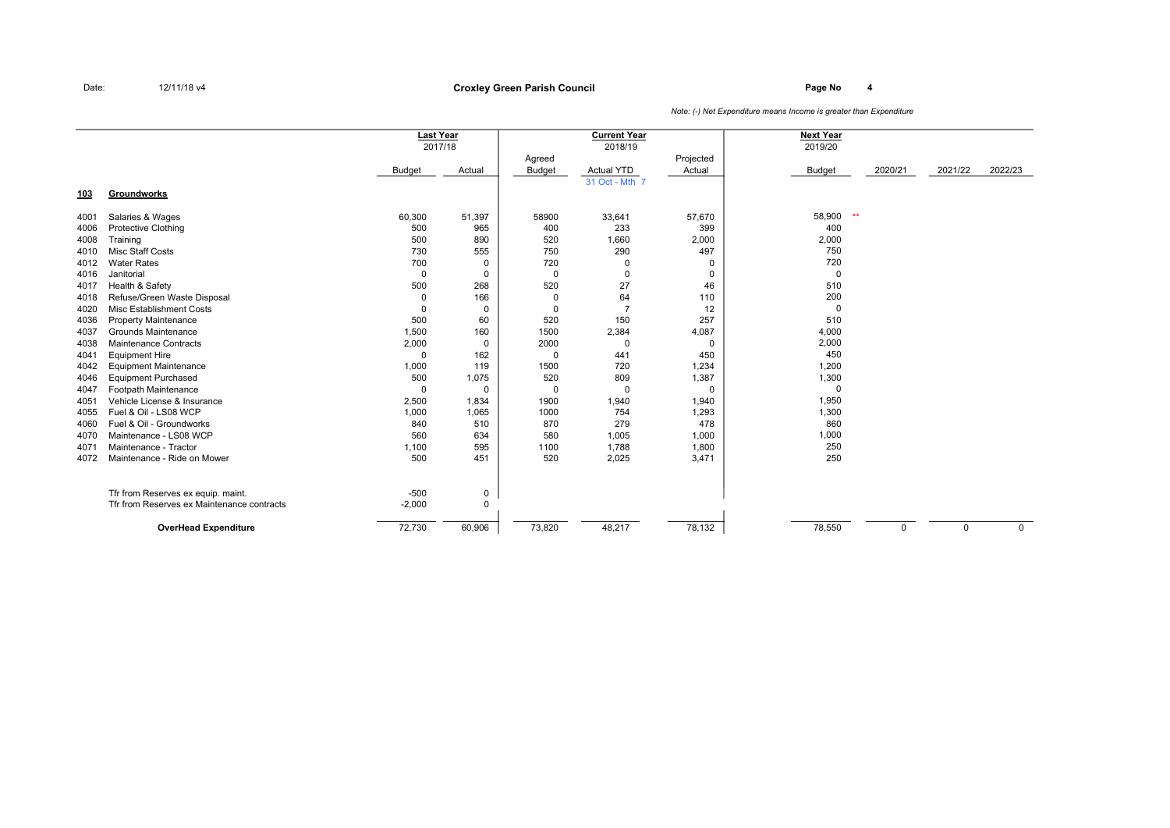# **Page No <sup>4</sup> Croxley Green Parish Council**

|      |                                                           |                         | <b>Last Year</b><br>2017/18 |               | <b>Current Year</b><br>2018/19 |           | <b>Next Year</b><br>2019/20 |         |          |             |
|------|-----------------------------------------------------------|-------------------------|-----------------------------|---------------|--------------------------------|-----------|-----------------------------|---------|----------|-------------|
|      |                                                           |                         |                             | Agreed        |                                | Projected |                             |         |          |             |
|      |                                                           | <b>Budget</b>           | Actual                      | <b>Budget</b> | <b>Actual YTD</b>              | Actual    | <b>Budget</b>               | 2020/21 | 2021/22  | 2022/23     |
| 103  | Groundworks                                               |                         |                             |               | 31 Oct - Mth 7                 |           |                             |         |          |             |
|      |                                                           |                         |                             | 58900         |                                |           |                             | $**$    |          |             |
| 4001 | Salaries & Wages                                          | 60,300                  | 51,397                      |               | 33,641                         | 57,670    | 58,900                      |         |          |             |
| 4006 | <b>Protective Clothing</b>                                | 500<br>500              | 965<br>890                  | 400<br>520    | 233                            | 399       | 400                         |         |          |             |
| 4008 | Training                                                  |                         |                             |               | 1,660                          | 2,000     | 2,000                       |         |          |             |
| 4010 | Misc Staff Costs                                          | 730                     | 555                         | 750           | 290                            | 497       | 750                         |         |          |             |
| 4012 | <b>Water Rates</b>                                        | 700                     | 0                           | 720           | 0                              | 0         | 720<br>$\mathbf 0$          |         |          |             |
| 4016 | Janitorial                                                | $\mathbf 0$             | 0                           | $\mathbf{0}$  | $\Omega$                       | 0         |                             |         |          |             |
| 4017 | Health & Safety                                           | 500                     | 268                         | 520           | 27                             | 46        | 510<br>200                  |         |          |             |
| 4018 | Refuse/Green Waste Disposal<br>Misc Establishment Costs   | $\mathbf 0$<br>$\Omega$ | 166                         | $\Omega$      | 64                             | 110       | $\mathbf 0$                 |         |          |             |
| 4020 |                                                           |                         | 0                           | $\Omega$      | 150                            | 12        | 510                         |         |          |             |
| 4036 | <b>Property Maintenance</b><br><b>Grounds Maintenance</b> | 500                     | 60                          | 520<br>1500   |                                | 257       | 4,000                       |         |          |             |
| 4037 |                                                           | 1,500                   | 160                         |               | 2,384                          | 4,087     |                             |         |          |             |
| 4038 | Maintenance Contracts                                     | 2,000                   | 0                           | 2000          | $\Omega$                       | 0         | 2,000                       |         |          |             |
| 4041 | <b>Equipment Hire</b>                                     | $\mathbf 0$             | 162                         | $\Omega$      | 441                            | 450       | 450                         |         |          |             |
| 4042 | <b>Equipment Maintenance</b>                              | 1,000                   | 119                         | 1500          | 720                            | 1,234     | 1,200                       |         |          |             |
| 4046 | <b>Equipment Purchased</b>                                | 500                     | 1,075                       | 520           | 809                            | 1,387     | 1,300                       |         |          |             |
| 4047 | Footpath Maintenance                                      | $\Omega$                | 0                           | $\mathbf 0$   | $\Omega$                       | 0         | $\mathbf 0$                 |         |          |             |
| 4051 | Vehicle License & Insurance                               | 2,500                   | 1,834                       | 1900          | 1,940                          | 1,940     | 1,950                       |         |          |             |
| 4055 | Fuel & Oil - LS08 WCP                                     | 1,000                   | 1,065                       | 1000          | 754                            | 1,293     | 1,300                       |         |          |             |
| 4060 | Fuel & Oil - Groundworks                                  | 840                     | 510                         | 870           | 279                            | 478       | 860                         |         |          |             |
| 4070 | Maintenance - LS08 WCP                                    | 560                     | 634                         | 580           | 1,005                          | 1,000     | 1,000                       |         |          |             |
| 4071 | Maintenance - Tractor                                     | 1,100                   | 595                         | 1100          | 1,788                          | 1,800     | 250                         |         |          |             |
| 4072 | Maintenance - Ride on Mower                               | 500                     | 451                         | 520           | 2,025                          | 3,471     | 250                         |         |          |             |
|      | Tfr from Reserves ex equip. maint.                        | $-500$                  | 0                           |               |                                |           |                             |         |          |             |
|      | Tfr from Reserves ex Maintenance contracts                | $-2,000$                | $\Omega$                    |               |                                |           |                             |         |          |             |
|      | <b>OverHead Expenditure</b>                               | 72,730                  | 60,906                      | 73,820        | 48,217                         | 78,132    | 78,550                      | 0       | $\Omega$ | $\mathbf 0$ |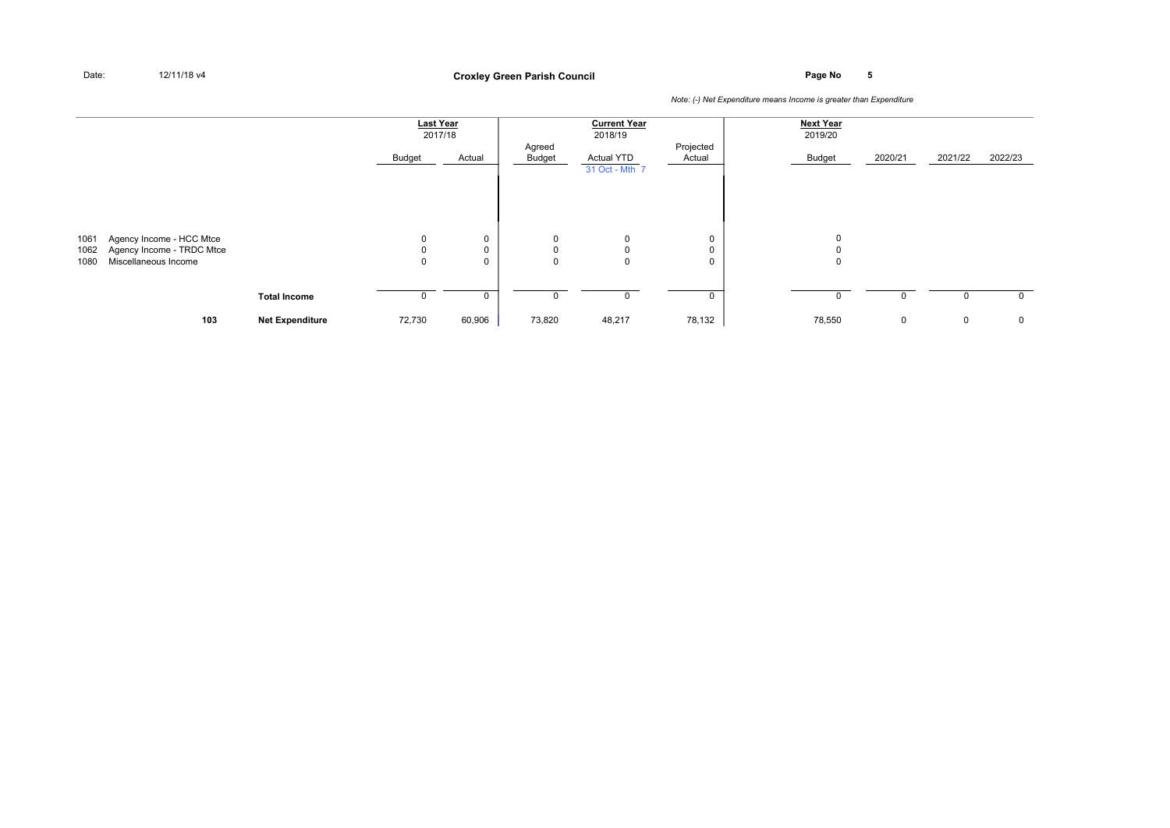**Page No <sup>5</sup> Croxley Green Parish Council**

|              |                                                       |                        | <b>Last Year</b><br>2017/18 |        | Agreed   | <b>Current Year</b><br>2018/19               | Projected | <b>Next Year</b><br>2019/20 |             |         |             |
|--------------|-------------------------------------------------------|------------------------|-----------------------------|--------|----------|----------------------------------------------|-----------|-----------------------------|-------------|---------|-------------|
|              |                                                       |                        | Budget                      | Actual | Budget   | Actual YTD                                   | Actual    | Budget                      | 2020/21     | 2021/22 | 2022/23     |
| 1061<br>1062 | Agency Income - HCC Mtce<br>Agency Income - TRDC Mtce |                        | $\mathbf 0$<br>0            | 0<br>0 | 0        | 31 Oct - Mth 7<br>$\mathbf 0$<br>$\mathbf 0$ | 0<br>0    | $\mathbf 0$<br>0            |             |         |             |
| 1080         | Miscellaneous Income                                  |                        | $\mathbf 0$                 | 0      | $\Omega$ | $\mathbf 0$                                  | 0         | $\mathbf 0$                 |             |         |             |
|              |                                                       | <b>Total Income</b>    |                             | 0      |          | $\mathbf 0$                                  | 0         | $\Omega$                    | 0           | 0       | $\mathbf 0$ |
|              | 103                                                   | <b>Net Expenditure</b> | 72,730                      | 60,906 | 73,820   | 48,217                                       | 78,132    | 78,550                      | $\mathbf 0$ | 0       | 0           |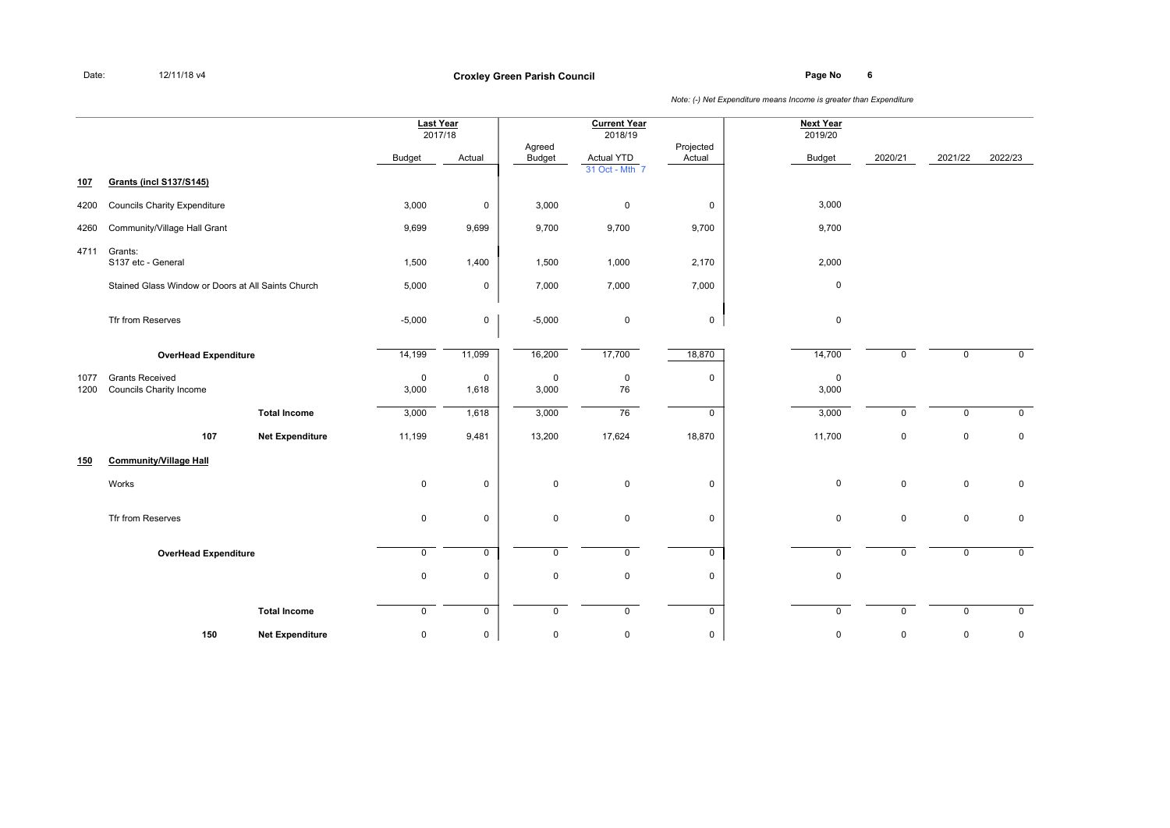**Page No <sup>6</sup> Croxley Green Parish Council**

|              |                                                          |                        | <b>Last Year</b><br>2017/18 |            |                         | <b>Current Year</b><br>2018/19 |                     | <b>Next Year</b><br>2019/20 |             |             |             |
|--------------|----------------------------------------------------------|------------------------|-----------------------------|------------|-------------------------|--------------------------------|---------------------|-----------------------------|-------------|-------------|-------------|
|              |                                                          |                        | <b>Budget</b>               | Actual     | Agreed<br><b>Budget</b> | <b>Actual YTD</b>              | Projected<br>Actual | Budget                      | 2020/21     | 2021/22     | 2022/23     |
| 107          | <b>Grants (incl S137/S145)</b>                           |                        |                             |            |                         | 31 Oct - Mth 7                 |                     |                             |             |             |             |
| 4200         | <b>Councils Charity Expenditure</b>                      |                        | 3,000                       | 0          | 3,000                   | $\mathsf 0$                    | 0                   | 3,000                       |             |             |             |
| 4260         | Community/Village Hall Grant                             |                        | 9,699                       | 9,699      | 9,700                   | 9,700                          | 9,700               | 9,700                       |             |             |             |
| 4711         | Grants:<br>S137 etc - General                            |                        | 1,500                       | 1,400      | 1,500                   | 1,000                          | 2,170               | 2,000                       |             |             |             |
|              | Stained Glass Window or Doors at All Saints Church       |                        | 5,000                       | 0          | 7,000                   | 7,000                          | 7,000               | $\pmb{0}$                   |             |             |             |
|              | Tfr from Reserves                                        |                        | $-5,000$                    | 0          | $-5,000$                | 0                              | 0                   | $\pmb{0}$                   |             |             |             |
|              | <b>OverHead Expenditure</b>                              |                        | 14,199                      | 11,099     | 16,200                  | 17,700                         | 18,870              | 14,700                      | 0           | $\mathbf 0$ | $\mathbf 0$ |
| 1077<br>1200 | <b>Grants Received</b><br><b>Councils Charity Income</b> |                        | $\mathbf 0$<br>3,000        | 0<br>1,618 | $\pmb{0}$<br>3,000      | 0<br>76                        | 0                   | $\mathsf 0$<br>3,000        |             |             |             |
|              |                                                          | <b>Total Income</b>    | 3,000                       | 1,618      | 3,000                   | 76                             | 0                   | 3,000                       | $\mathbf 0$ | $\mathbf 0$ | $\mathbf 0$ |
|              | 107                                                      | <b>Net Expenditure</b> | 11,199                      | 9,481      | 13,200                  | 17,624                         | 18,870              | 11,700                      | 0           | $\mathbf 0$ | $\mathsf 0$ |
| 150          | <b>Community/Village Hall</b>                            |                        |                             |            |                         |                                |                     |                             |             |             |             |
|              | Works                                                    |                        | $\mathbf 0$                 | 0          | $\mathsf 0$             | 0                              | 0                   | $\mathsf 0$                 | $\mathbf 0$ | $\mathsf 0$ | $\mathbf 0$ |
|              | Tfr from Reserves                                        |                        | $\pmb{0}$                   | 0          | $\mathsf 0$             | $\mathbf 0$                    | $\mathbf 0$         | $\pmb{0}$                   | $\mathbf 0$ | $\mathbf 0$ | $\mathbf 0$ |
|              | <b>OverHead Expenditure</b>                              |                        | $\mathsf 0$                 | 0          | $\mathbf 0$             | $\mathbf 0$                    | $\mathsf{O}$        | $\pmb{0}$                   | 0           | $\mathbf 0$ | $\mathbf 0$ |
|              |                                                          |                        | $\pmb{0}$                   | 0          | $\pmb{0}$               | 0                              | 0                   | $\pmb{0}$                   |             |             |             |
|              |                                                          | <b>Total Income</b>    | $\mathsf 0$                 | 0          | $\mathsf 0$             | $\mathbf 0$                    | $\mathsf{O}$        | $\mathbf 0$                 | $\mathbf 0$ | $\mathbf 0$ | $\mathbf 0$ |
|              | 150                                                      | <b>Net Expenditure</b> | $\pmb{0}$                   | 0          | $\pmb{0}$               | 0                              | $\mathsf 0$         | $\pmb{0}$                   | 0           | $\mathbf 0$ | $\mathsf 0$ |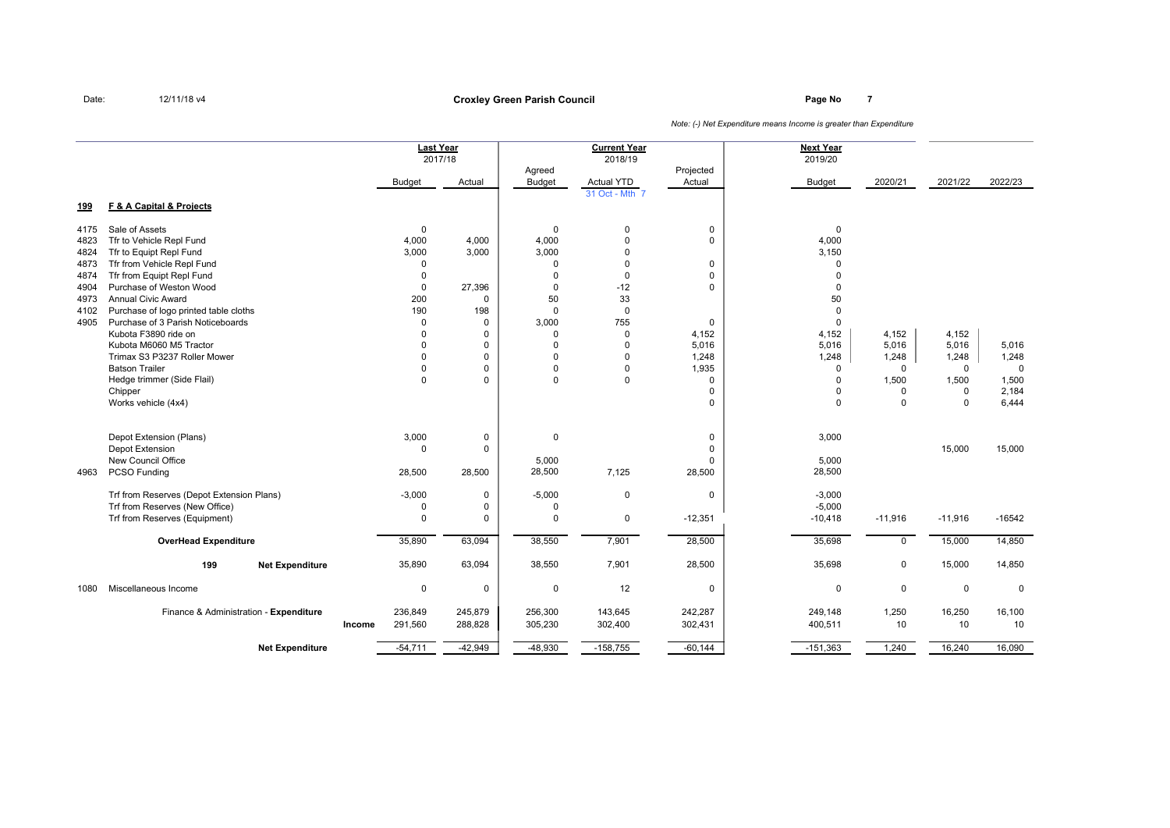**Page No <sup>7</sup> Croxley Green Parish Council**

*Note: (-) Net Expenditure means Income is greater than Expenditure*

**Next Year**2019/20 2017/18 2018/19 2019/20 Agreed **Projected** Budget Actual Budget Actual YTD Actual Budget Budget 2020/21 2021/22 2022/23 31 Oct - Mth <sup>7</sup> **Last YearCurrent Year**

| <u>199</u> | F & A Capital & Projects                                                         |        |                             |                                 |                                |            |                                     |                          |             |              |              |
|------------|----------------------------------------------------------------------------------|--------|-----------------------------|---------------------------------|--------------------------------|------------|-------------------------------------|--------------------------|-------------|--------------|--------------|
| 4175       | Sale of Assets                                                                   |        | $\mathbf 0$                 |                                 | $\mathbf 0$                    | 0          | 0                                   | $\mathbf 0$              |             |              |              |
| 4823       | Tfr to Vehicle Repl Fund                                                         |        | 4,000                       | 4,000                           | 4,000                          | $\Omega$   | $\mathbf 0$                         | 4,000                    |             |              |              |
| 4824       | Tfr to Equipt Repl Fund                                                          |        | 3,000                       | 3,000                           | 3,000                          | 0          |                                     | 3,150                    |             |              |              |
| 4873       | Tfr from Vehicle Repl Fund                                                       |        | $\mathbf 0$                 |                                 | $\mathbf 0$                    | 0          | 0                                   | $\Omega$                 |             |              |              |
| 4874       | Tfr from Equipt Repl Fund                                                        |        | $\Omega$                    |                                 | $\Omega$                       | $\Omega$   | $\mathbf 0$                         | $\Omega$                 |             |              |              |
| 4904       | Purchase of Weston Wood                                                          |        | $\mathbf 0$                 | 27,396                          | $\mathbf 0$                    | $-12$      | $\mathbf 0$                         | $\Omega$                 |             |              |              |
| 4973       | <b>Annual Civic Award</b>                                                        |        | 200                         | $\mathbf 0$                     | 50                             | 33         |                                     | 50                       |             |              |              |
| 4102       | Purchase of logo printed table cloths                                            |        | 190                         | 198                             | $\mathbf 0$                    | $\Omega$   |                                     | $\Omega$                 |             |              |              |
| 4905       | Purchase of 3 Parish Noticeboards                                                |        | $\mathbf 0$                 | $\mathbf 0$                     | 3,000                          | 755        | $\mathbf 0$                         | $\mathbf 0$              |             |              |              |
|            | Kubota F3890 ride on                                                             |        | $\Omega$                    | $\mathbf 0$                     | $\mathbf 0$                    | $\Omega$   | 4,152                               | 4,152                    | 4,152       | 4,152        |              |
|            | Kubota M6060 M5 Tractor                                                          |        | $\Omega$                    | $\mathbf 0$                     | $\Omega$                       | $\Omega$   | 5,016                               | 5,016                    | 5,016       | 5,016        | 5,016        |
|            | Trimax S3 P3237 Roller Mower                                                     |        | $\Omega$                    | $\mathbf 0$                     | $\Omega$                       | $\Omega$   | 1,248                               | 1,248                    | 1,248       | 1,248        | 1,248        |
|            | <b>Batson Trailer</b>                                                            |        | $\Omega$                    | $\mathbf 0$                     | 0                              | 0          | 1,935                               | 0                        | 0           | 0            | $\mathbf{0}$ |
|            | Hedge trimmer (Side Flail)                                                       |        | $\Omega$                    | $\mathbf 0$                     | $\Omega$                       | 0          | $\mathbf 0$                         | $\Omega$                 | 1,500       | 1,500        | 1,500        |
|            | Chipper                                                                          |        |                             |                                 |                                |            | $\Omega$                            | $\Omega$                 | 0           | $\mathbf{0}$ | 2,184        |
|            | Works vehicle (4x4)                                                              |        |                             |                                 |                                |            | $\Omega$                            | $\Omega$                 | $\Omega$    | $\Omega$     | 6,444        |
| 4963       | Depot Extension (Plans)<br>Depot Extension<br>New Council Office<br>PCSO Funding |        | 3,000<br>$\Omega$<br>28,500 | $\pmb{0}$<br>$\Omega$<br>28,500 | $\mathbf 0$<br>5,000<br>28,500 | 7,125      | 0<br>$\Omega$<br>$\Omega$<br>28,500 | 3,000<br>5,000<br>28,500 |             | 15,000       | 15,000       |
|            | Trf from Reserves (Depot Extension Plans)                                        |        | $-3,000$                    | 0                               | $-5,000$                       | 0          | $\mathbf 0$                         | $-3,000$                 |             |              |              |
|            | Trf from Reserves (New Office)                                                   |        | 0                           | $\mathbf 0$                     | $\Omega$                       |            |                                     | $-5,000$                 |             |              |              |
|            | Trf from Reserves (Equipment)                                                    |        | $\Omega$                    | $\Omega$                        | $\Omega$                       | 0          | $-12,351$                           | $-10,418$                | $-11,916$   | $-11,916$    | $-16542$     |
|            | <b>OverHead Expenditure</b>                                                      |        | 35,890                      | 63,094                          | 38,550                         | 7,901      | 28,500                              | 35,698                   | $\mathbf 0$ | 15,000       | 14,850       |
|            | 199<br><b>Net Expenditure</b>                                                    |        | 35,890                      | 63,094                          | 38,550                         | 7,901      | 28,500                              | 35,698                   | 0           | 15,000       | 14,850       |
| 1080       | Miscellaneous Income                                                             |        | $\mathbf 0$                 | 0                               | $\mathbf 0$                    | 12         | $\mathbf 0$                         | 0                        | 0           | $\mathbf 0$  | $\mathbf 0$  |
|            | Finance & Administration - Expenditure                                           |        | 236,849                     | 245,879                         | 256,300                        | 143,645    | 242,287                             | 249,148                  | 1,250       | 16,250       | 16,100       |
|            |                                                                                  | Income | 291,560                     | 288,828                         | 305,230                        | 302,400    | 302,431                             | 400,511                  | 10          | 10           | 10           |
|            | <b>Net Expenditure</b>                                                           |        | $-54,711$                   | $-42,949$                       | $-48,930$                      | $-158,755$ | $-60,144$                           | $-151,363$               | 1,240       | 16,240       | 16,090       |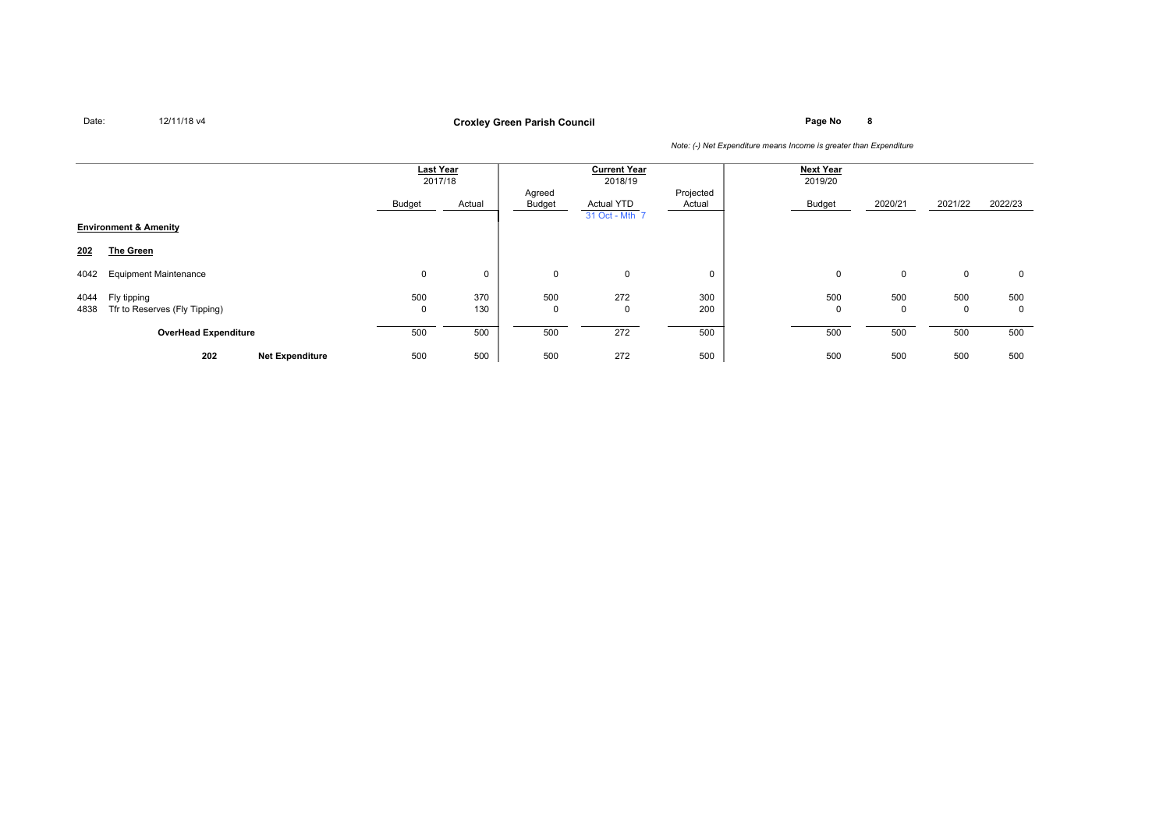**Page No <sup>8</sup> Croxley Green Parish Council**

|              |                                              |                    | <b>Last Year</b><br>2017/18 |                  | <b>Current Year</b><br>2018/19      |                     | <b>Next Year</b><br>2019/20 |                    |                    |                    |
|--------------|----------------------------------------------|--------------------|-----------------------------|------------------|-------------------------------------|---------------------|-----------------------------|--------------------|--------------------|--------------------|
|              |                                              | Budget             | Actual                      | Agreed<br>Budget | <b>Actual YTD</b><br>31 Oct - Mth 7 | Projected<br>Actual | Budget                      | 2020/21            | 2021/22            | 2022/23            |
|              | <b>Environment &amp; Amenity</b>             |                    |                             |                  |                                     |                     |                             |                    |                    |                    |
| 202          | The Green                                    |                    |                             |                  |                                     |                     |                             |                    |                    |                    |
| 4042         | <b>Equipment Maintenance</b>                 | $\mathbf 0$        | 0                           | $\mathbf 0$      | $\mathbf 0$                         |                     | $\mathbf 0$                 | $\mathbf 0$        | 0                  | $\mathbf 0$        |
| 4044<br>4838 | Fly tipping<br>Tfr to Reserves (Fly Tipping) | 500<br>$\mathbf 0$ | 370<br>130                  | 500<br>0         | 272<br>$\Omega$                     | 300<br>200          | 500<br>$\Omega$             | 500<br>$\mathbf 0$ | 500<br>$\mathbf 0$ | 500<br>$\mathbf 0$ |
|              | <b>OverHead Expenditure</b>                  | 500                | 500                         | 500              | 272                                 | 500                 | 500                         | 500                | 500                | 500                |
|              | 202<br><b>Net Expenditure</b>                | 500                | 500                         | 500              | 272                                 | 500                 | 500                         | 500                | 500                | 500                |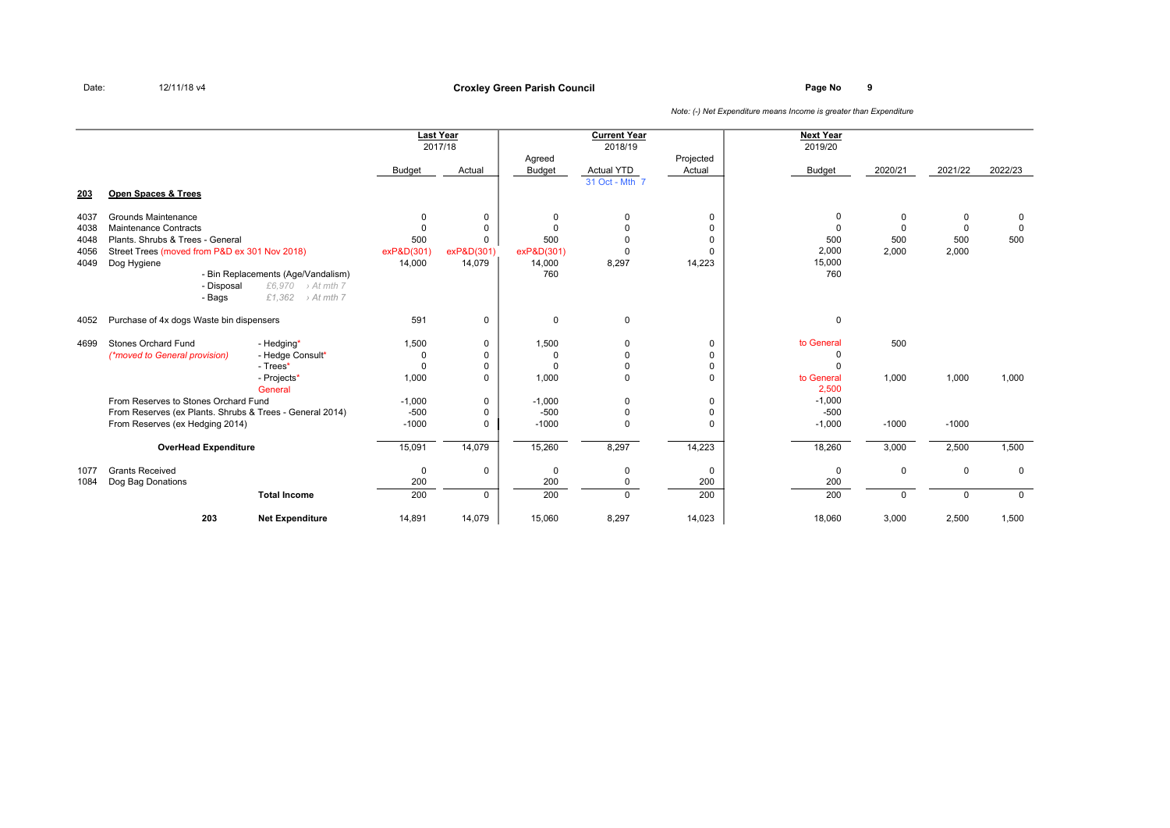|              |                                               |                                                                        |                         | <b>Last Year</b><br>2017/18 | Agreed        | <b>Current Year</b><br>2018/19 | Projected               | <b>Next Year</b><br>2019/20 |                      |                      |                            |
|--------------|-----------------------------------------------|------------------------------------------------------------------------|-------------------------|-----------------------------|---------------|--------------------------------|-------------------------|-----------------------------|----------------------|----------------------|----------------------------|
|              |                                               |                                                                        | Budget                  | Actual                      | <b>Budget</b> | Actual YTD                     | Actual                  | <b>Budget</b>               | 2020/21              | 2021/22              | 2022/23                    |
| 203          | Open Spaces & Trees                           |                                                                        |                         |                             |               | 31 Oct - Mth 7                 |                         |                             |                      |                      |                            |
| 4037<br>4038 | Grounds Maintenance<br>Maintenance Contracts  |                                                                        | $\mathbf 0$<br>$\Omega$ | $\mathbf 0$<br>$\Omega$     | 0<br>$\Omega$ | $\mathbf 0$<br>$\Omega$        | $\mathbf 0$<br>$\Omega$ | 0<br>$\Omega$               | $\Omega$<br>$\Omega$ | $\Omega$<br>$\Omega$ | $\mathbf 0$<br>$\mathbf 0$ |
| 4048         | Plants, Shrubs & Trees - General              |                                                                        | 500                     | $\Omega$                    | 500           | $\Omega$                       | $\Omega$                | 500                         | 500                  | 500                  | 500                        |
| 4056         | Street Trees (moved from P&D ex 301 Nov 2018) |                                                                        | exP&D(301)              | exP&D(301)                  | exP&D(301)    | $\Omega$                       | $\Omega$                | 2,000                       | 2,000                | 2,000                |                            |
| 4049         | Dog Hygiene                                   |                                                                        | 14,000                  | 14,079                      | 14,000        | 8,297                          | 14,223                  | 15,000                      |                      |                      |                            |
|              |                                               | - Bin Replacements (Age/Vandalism)<br>£6,970<br>$\rightarrow$ At mth 7 |                         |                             | 760           |                                |                         | 760                         |                      |                      |                            |
|              | - Disposal<br>- Bags                          | £1,362<br>> At mth 7                                                   |                         |                             |               |                                |                         |                             |                      |                      |                            |
|              |                                               |                                                                        |                         |                             |               |                                |                         |                             |                      |                      |                            |
| 4052         | Purchase of 4x dogs Waste bin dispensers      |                                                                        | 591                     | $\mathbf 0$                 | $\mathbf 0$   | $\mathbf 0$                    |                         | $\mathbf 0$                 |                      |                      |                            |
| 4699         | Stones Orchard Fund                           | - Hedging*                                                             | 1,500                   | 0                           | 1,500         | $\mathbf 0$                    | 0                       | to General                  | 500                  |                      |                            |
|              | (*moved to General provision)                 | - Hedge Consult*                                                       | 0                       | $\Omega$                    | 0             | $\Omega$                       | $\Omega$                | O                           |                      |                      |                            |
|              |                                               | - Trees*                                                               | $\Omega$                | $\mathbf 0$                 | $\Omega$      | $\mathbf 0$                    | $\mathbf 0$             | $\Omega$                    |                      |                      |                            |
|              |                                               | - Projects*<br>General                                                 | 1,000                   | $\Omega$                    | 1,000         | $\Omega$                       | $\Omega$                | to General<br>2.500         | 1,000                | 1,000                | 1,000                      |
|              | From Reserves to Stones Orchard Fund          |                                                                        | $-1.000$                | $\mathbf 0$                 | $-1.000$      | 0                              | $\mathbf 0$             | $-1,000$                    |                      |                      |                            |
|              |                                               | From Reserves (ex Plants. Shrubs & Trees - General 2014)               | $-500$                  | $\mathbf 0$                 | $-500$        | $\mathbf 0$                    | $\mathbf 0$             | $-500$                      |                      |                      |                            |
|              | From Reserves (ex Hedging 2014)               |                                                                        | $-1000$                 | $\mathbf 0$                 | $-1000$       | $\Omega$                       | $\mathbf 0$             | $-1,000$                    | $-1000$              | $-1000$              |                            |
|              | <b>OverHead Expenditure</b>                   |                                                                        | 15,091                  | 14,079                      | 15,260        | 8,297                          | 14,223                  | 18,260                      | 3,000                | 2,500                | 1,500                      |
| 1077         | <b>Grants Received</b>                        |                                                                        | $\mathbf 0$             | $\mathbf 0$                 | 0             | $\mathbf 0$                    | $\mathbf 0$             | $\mathbf 0$                 | $\mathbf 0$          | $\mathbf 0$          | $\Omega$                   |
| 1084         | Dog Bag Donations                             |                                                                        | 200                     |                             | 200           | $\mathbf 0$                    | 200                     | 200                         |                      |                      |                            |
|              |                                               | <b>Total Income</b>                                                    | 200                     | $\Omega$                    | 200           | $\Omega$                       | 200                     | 200                         | $\Omega$             | $\Omega$             | $\Omega$                   |
|              | 203                                           | <b>Net Expenditure</b>                                                 | 14,891                  | 14,079                      | 15,060        | 8,297                          | 14,023                  | 18,060                      | 3,000                | 2,500                | 1,500                      |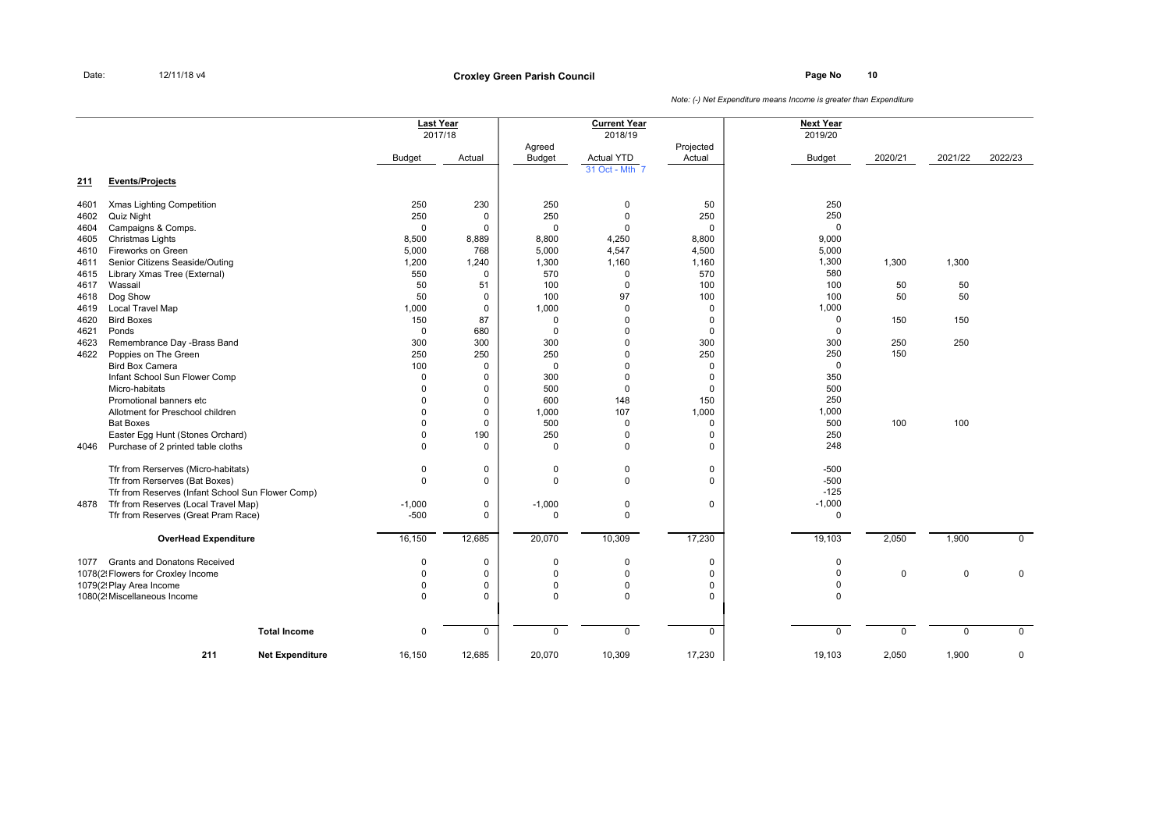**Page No <sup>10</sup> Croxley Green Parish Council**

|      |                                                   | <b>Last Year</b><br>2017/18 |             |                         | <b>Current Year</b><br>2018/19 |                     | <b>Next Year</b><br>2019/20 |             |             |             |
|------|---------------------------------------------------|-----------------------------|-------------|-------------------------|--------------------------------|---------------------|-----------------------------|-------------|-------------|-------------|
|      |                                                   | <b>Budget</b>               | Actual      | Agreed<br><b>Budget</b> | <b>Actual YTD</b>              | Projected<br>Actual | <b>Budget</b>               | 2020/21     | 2021/22     | 2022/23     |
| 211  | <b>Events/Projects</b>                            |                             |             |                         | 31 Oct - Mth 7                 |                     |                             |             |             |             |
| 4601 | Xmas Lighting Competition                         | 250                         | 230         | 250                     | 0                              | 50                  | 250                         |             |             |             |
| 4602 | Quiz Night                                        | 250                         | $\mathbf 0$ | 250                     | $\Omega$                       | 250                 | 250                         |             |             |             |
| 4604 | Campaigns & Comps.                                | $\mathbf 0$                 | $\Omega$    | $\mathbf 0$             | $\Omega$                       | 0                   | $\mathbf 0$                 |             |             |             |
| 4605 | Christmas Lights                                  | 8,500                       | 8,889       | 8,800                   | 4,250                          | 8,800               | 9,000                       |             |             |             |
| 4610 | Fireworks on Green                                | 5,000                       | 768         | 5,000                   | 4,547                          | 4,500               | 5,000                       |             |             |             |
| 4611 | Senior Citizens Seaside/Outing                    | 1,200                       | 1,240       | 1,300                   | 1,160                          | 1,160               | 1,300                       | 1,300       | 1,300       |             |
| 4615 | Library Xmas Tree (External)                      | 550                         | $\mathbf 0$ | 570                     | $\mathbf 0$                    | 570                 | 580                         |             |             |             |
| 4617 | Wassail                                           | 50                          | 51          | 100                     | $\Omega$                       | 100                 | 100                         | 50          | 50          |             |
| 4618 | Dog Show                                          | 50                          | $\mathbf 0$ | 100                     | 97                             | 100                 | 100                         | 50          | 50          |             |
| 4619 | <b>Local Travel Map</b>                           | 1,000                       | $\mathbf 0$ | 1,000                   | $\Omega$                       | 0                   | 1,000                       |             |             |             |
| 4620 | <b>Bird Boxes</b>                                 | 150                         | 87          | $\mathbf 0$             | $\Omega$                       | 0                   | 0                           | 150         | 150         |             |
| 4621 | Ponds                                             | $\mathbf 0$                 | 680         | $\mathbf 0$             | $\Omega$                       | 0                   | $\mathbf 0$                 |             |             |             |
| 4623 | Remembrance Day -Brass Band                       | 300                         | 300         | 300                     | $\Omega$                       | 300                 | 300                         | 250         | 250         |             |
| 4622 | Poppies on The Green                              | 250                         | 250         | 250                     | $\Omega$                       | 250                 | 250                         | 150         |             |             |
|      | <b>Bird Box Camera</b>                            | 100                         | $\mathbf 0$ | $\mathbf 0$             | $\Omega$                       | 0                   | $\mathbf 0$                 |             |             |             |
|      | Infant School Sun Flower Comp                     | $\mathbf 0$                 | $\Omega$    | 300                     | $\Omega$                       | $\mathbf 0$         | 350                         |             |             |             |
|      | Micro-habitats                                    | $\mathbf 0$                 | $\mathbf 0$ | 500                     | $\Omega$                       | $\mathbf 0$         | 500                         |             |             |             |
|      | Promotional banners etc                           | $\Omega$                    | $\mathbf 0$ | 600                     | 148                            | 150                 | 250                         |             |             |             |
|      | Allotment for Preschool children                  | $\Omega$                    | $\mathbf 0$ | 1,000                   | 107                            | 1,000               | 1,000                       |             |             |             |
|      | <b>Bat Boxes</b>                                  | $\Omega$                    | $\mathbf 0$ | 500                     | $\Omega$                       | 0                   | 500                         | 100         | 100         |             |
|      | Easter Egg Hunt (Stones Orchard)                  | $\mathbf 0$                 | 190         | 250                     | $\Omega$                       | 0                   | 250                         |             |             |             |
| 4046 | Purchase of 2 printed table cloths                | $\Omega$                    | $\mathbf 0$ | $\mathbf 0$             | $\Omega$                       | 0                   | 248                         |             |             |             |
|      | Tfr from Rerserves (Micro-habitats)               | $\mathbf 0$                 | $\mathbf 0$ | $\mathbf 0$             | $\mathbf 0$                    | 0                   | $-500$                      |             |             |             |
|      | Tfr from Rerserves (Bat Boxes)                    | $\mathbf 0$                 | $\mathbf 0$ | $\mathbf 0$             | $\mathbf 0$                    | $\mathbf 0$         | $-500$                      |             |             |             |
|      | Tfr from Reserves (Infant School Sun Flower Comp) |                             |             |                         |                                |                     | $-125$                      |             |             |             |
| 4878 | Tfr from Reserves (Local Travel Map)              | $-1,000$                    | $\mathbf 0$ | $-1,000$                | $\mathbf 0$                    | $\mathbf 0$         | $-1,000$                    |             |             |             |
|      | Tfr from Reserves (Great Pram Race)               | $-500$                      | $\mathbf 0$ | $\Omega$                | $\Omega$                       |                     | $\mathbf 0$                 |             |             |             |
|      | <b>OverHead Expenditure</b>                       | 16,150                      | 12,685      | 20,070                  | 10,309                         | 17,230              | 19,103                      | 2,050       | 1,900       | $\mathbf 0$ |
| 1077 | <b>Grants and Donatons Received</b>               | $\mathbf 0$                 | $\pmb{0}$   | $\Omega$                | $\Omega$                       | 0                   | $\Omega$                    |             |             |             |
|      | 1078(2! Flowers for Croxley Income                | $\mathbf 0$                 | $\mathbf 0$ | $\Omega$                | $\Omega$                       | 0                   | $\Omega$                    | $\mathbf 0$ | 0           | $\mathsf 0$ |
|      | 1079(2! Play Area Income                          | $\mathbf 0$                 | $\mathsf 0$ | $\Omega$                | $\Omega$                       | 0                   | $\mathbf 0$                 |             |             |             |
|      | 1080(2! Miscellaneous Income                      | $\Omega$                    | $\mathbf 0$ | $\Omega$                | $\Omega$                       | 0                   | $\Omega$                    |             |             |             |
|      | <b>Total Income</b>                               | $\mathbf 0$                 | $\mathbf 0$ | $\mathbf 0$             | $\Omega$                       | $\mathbf 0$         | $\mathbf 0$                 | $\mathbf 0$ | $\mathbf 0$ | $\mathbf 0$ |
|      | 211<br><b>Net Expenditure</b>                     | 16,150                      | 12,685      | 20,070                  | 10,309                         | 17,230              | 19,103                      | 2,050       | 1,900       | 0           |
|      |                                                   |                             |             |                         |                                |                     |                             |             |             |             |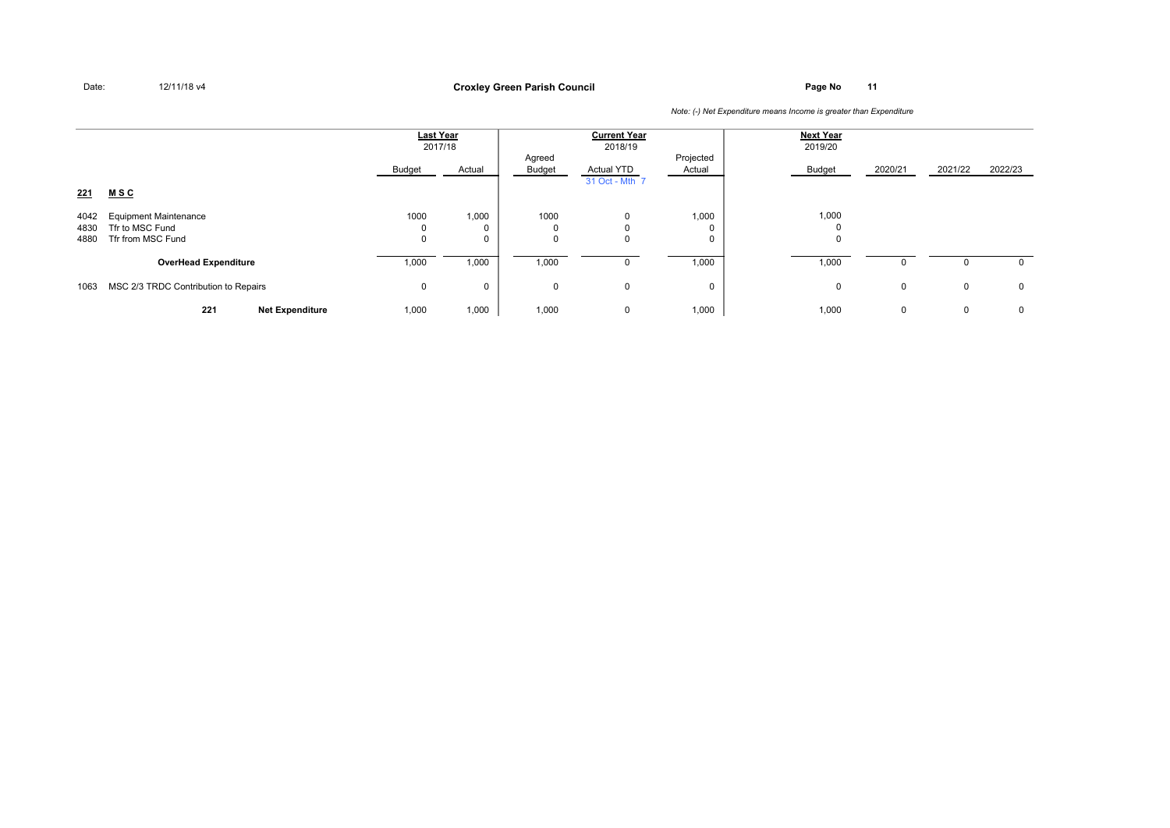**Page No <sup>11</sup> Croxley Green Parish Council**

|                      |                                                                      | Last Year<br>2017/18 |                           | <b>Current Year</b><br>2018/19 |                                     | <b>Next Year</b><br>2019/20 |                      |             |              |             |
|----------------------|----------------------------------------------------------------------|----------------------|---------------------------|--------------------------------|-------------------------------------|-----------------------------|----------------------|-------------|--------------|-------------|
|                      |                                                                      | Budget               | Actual                    | Agreed<br>Budget               | <b>Actual YTD</b><br>31 Oct - Mth 7 | Projected<br>Actual         | Budget               | 2020/21     | 2021/22      | 2022/23     |
| 221                  | <u>MSC</u>                                                           |                      |                           |                                |                                     |                             |                      |             |              |             |
| 4042<br>4830<br>4880 | <b>Equipment Maintenance</b><br>Tfr to MSC Fund<br>Tfr from MSC Fund | 1000<br>0<br>0       | 1,000<br>0<br>$\mathbf 0$ | 1000<br>$\Omega$               | 0<br>0<br>$\mathbf 0$               | 1,000                       | 1,000<br>$\mathbf 0$ |             |              |             |
|                      | <b>OverHead Expenditure</b>                                          | 1,000                | 1,000                     | 1,000                          | 0                                   | 1,000                       | 1,000                | 0           |              | $\mathbf 0$ |
| 1063                 | MSC 2/3 TRDC Contribution to Repairs                                 | 0                    | 0                         | $\mathbf{0}$                   | 0                                   | 0                           | $\mathbf 0$          | 0           | 0            | $\mathbf 0$ |
|                      | 221<br><b>Net Expenditure</b>                                        | 1,000                | 1,000                     | 1,000                          | 0                                   | 1,000                       | 1,000                | $\mathbf 0$ | $\mathbf{0}$ | $\mathbf 0$ |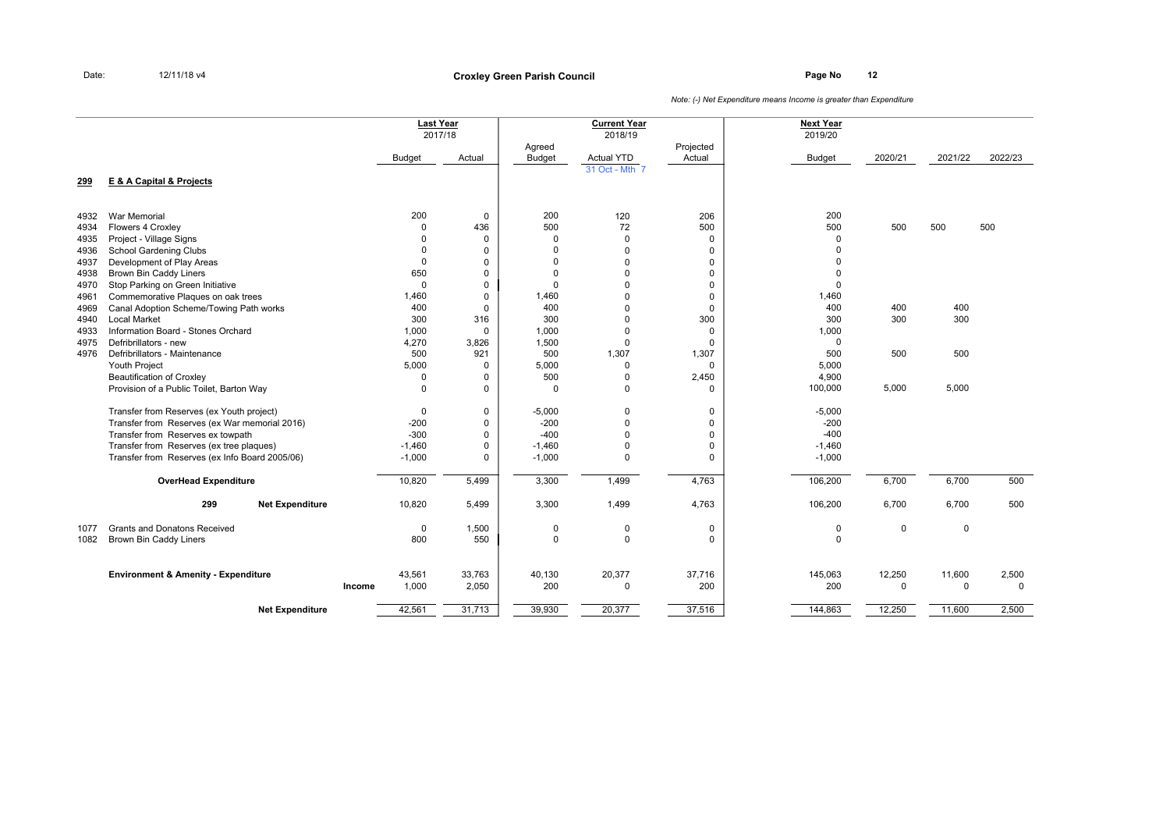**Page No <sup>12</sup> Croxley Green Parish Council**

|      |                                                |        |              | <b>Last Year</b><br>2017/18 |                         | <b>Current Year</b><br>2018/19 |                     | <b>Next Year</b><br>2019/20 |         |             |              |
|------|------------------------------------------------|--------|--------------|-----------------------------|-------------------------|--------------------------------|---------------------|-----------------------------|---------|-------------|--------------|
|      |                                                |        | Budget       | Actual                      | Agreed<br><b>Budget</b> | <b>Actual YTD</b>              | Projected<br>Actual | <b>Budget</b>               | 2020/21 | 2021/22     | 2022/23      |
|      |                                                |        |              |                             |                         | 31 Oct - Mth 7                 |                     |                             |         |             |              |
| 299  | E & A Capital & Projects                       |        |              |                             |                         |                                |                     |                             |         |             |              |
| 4932 | <b>War Memorial</b>                            |        | 200          | $\mathbf 0$                 | 200                     | 120                            | 206                 | 200                         |         |             |              |
| 4934 | Flowers 4 Croxley                              |        | $\mathbf 0$  | 436                         | 500                     | 72                             | 500                 | 500                         | 500     | 500         | 500          |
| 4935 | Project - Village Signs                        |        | $\Omega$     | $\mathbf 0$                 | $\Omega$                | $\Omega$                       | 0                   | $\Omega$                    |         |             |              |
| 4936 | School Gardening Clubs                         |        | $\mathbf 0$  | $\mathbf 0$                 | $\Omega$                | $\Omega$                       | $\mathbf 0$         | $\Omega$                    |         |             |              |
| 4937 | Development of Play Areas                      |        | $\mathbf 0$  | $\mathbf 0$                 | 0                       | $\Omega$                       | 0                   | O                           |         |             |              |
| 4938 | <b>Brown Bin Caddy Liners</b>                  |        | 650          | $\mathbf 0$                 | $\Omega$                | $\Omega$                       | $\mathbf 0$         | $\Omega$                    |         |             |              |
| 4970 | Stop Parking on Green Initiative               |        | $\Omega$     | $\mathbf 0$                 | $\Omega$                | $\Omega$                       | $\mathbf 0$         | $\Omega$                    |         |             |              |
| 4961 | Commemorative Plaques on oak trees             |        | 1,460        | $\mathbf 0$                 | 1,460                   | 0                              | 0                   | 1,460                       |         |             |              |
| 4969 | Canal Adoption Scheme/Towing Path works        |        | 400          | $\mathbf 0$                 | 400                     | 0                              | $\mathbf 0$         | 400                         | 400     | 400         |              |
| 4940 | <b>Local Market</b>                            |        | 300          | 316                         | 300                     | 0                              | 300                 | 300                         | 300     | 300         |              |
| 4933 | Information Board - Stones Orchard             |        | 1,000        | $\mathbf 0$                 | 1,000                   | $\Omega$                       | $\mathbf 0$         | 1,000                       |         |             |              |
| 4975 | Defribrillators - new                          |        | 4,270        | 3,826                       | 1,500                   | $\Omega$                       | $\mathbf 0$         | $\mathbf 0$                 |         |             |              |
| 4976 | Defribrillators - Maintenance                  |        | 500          | 921                         | 500                     | 1,307                          | 1,307               | 500                         | 500     | 500         |              |
|      | Youth Project                                  |        | 5,000        | $\mathbf 0$                 | 5,000                   | 0                              | $\Omega$            | 5,000                       |         |             |              |
|      | <b>Beautification of Croxley</b>               |        | 0            | 0                           | 500                     | 0                              | 2,450               | 4,900                       |         |             |              |
|      | Provision of a Public Toilet, Barton Way       |        | $\mathbf{0}$ | $\mathbf 0$                 | $\Omega$                | $\Omega$                       | $\mathbf 0$         | 100,000                     | 5,000   | 5,000       |              |
|      | Transfer from Reserves (ex Youth project)      |        | $\mathbf 0$  | $\mathbf 0$                 | $-5,000$                | 0                              | 0                   | $-5,000$                    |         |             |              |
|      | Transfer from Reserves (ex War memorial 2016)  |        | $-200$       | $\mathbf 0$                 | $-200$                  | $\Omega$                       | 0                   | $-200$                      |         |             |              |
|      | Transfer from Reserves ex towpath              |        | $-300$       | $\mathbf 0$                 | $-400$                  | O                              | $\mathbf 0$         | $-400$                      |         |             |              |
|      | Transfer from Reserves (ex tree plaques)       |        | $-1,460$     | $\mathbf 0$                 | $-1,460$                | $\Omega$                       | $\mathbf 0$         | $-1,460$                    |         |             |              |
|      | Transfer from Reserves (ex Info Board 2005/06) |        | $-1,000$     | $\mathbf 0$                 | $-1,000$                | $\Omega$                       | $\mathbf 0$         | $-1,000$                    |         |             |              |
|      | <b>OverHead Expenditure</b>                    |        | 10,820       | 5,499                       | 3,300                   | 1,499                          | 4,763               | 106,200                     | 6,700   | 6,700       | 500          |
|      | 299<br><b>Net Expenditure</b>                  |        | 10,820       | 5,499                       | 3,300                   | 1,499                          | 4,763               | 106,200                     | 6,700   | 6,700       | 500          |
| 1077 | <b>Grants and Donatons Received</b>            |        | $\mathbf 0$  | 1,500                       | $\pmb{0}$               | 0                              | 0                   | 0                           | 0       | $\mathbf 0$ |              |
| 1082 | <b>Brown Bin Caddy Liners</b>                  |        | 800          | 550                         | $\pmb{0}$               | $\Omega$                       | $\mathbf 0$         | $\mathbf 0$                 |         |             |              |
|      | <b>Environment &amp; Amenity - Expenditure</b> |        | 43,561       | 33,763                      | 40,130                  | 20,377                         | 37,716              | 145,063                     | 12,250  | 11,600      | 2,500        |
|      |                                                | Income | 1,000        | 2,050                       | 200                     | 0                              | 200                 | 200                         | 0       | $\mathbf 0$ | $\mathbf{0}$ |
|      | <b>Net Expenditure</b>                         |        | 42,561       | 31,713                      | 39,930                  | 20,377                         | 37,516              | 144,863                     | 12,250  | 11,600      | 2,500        |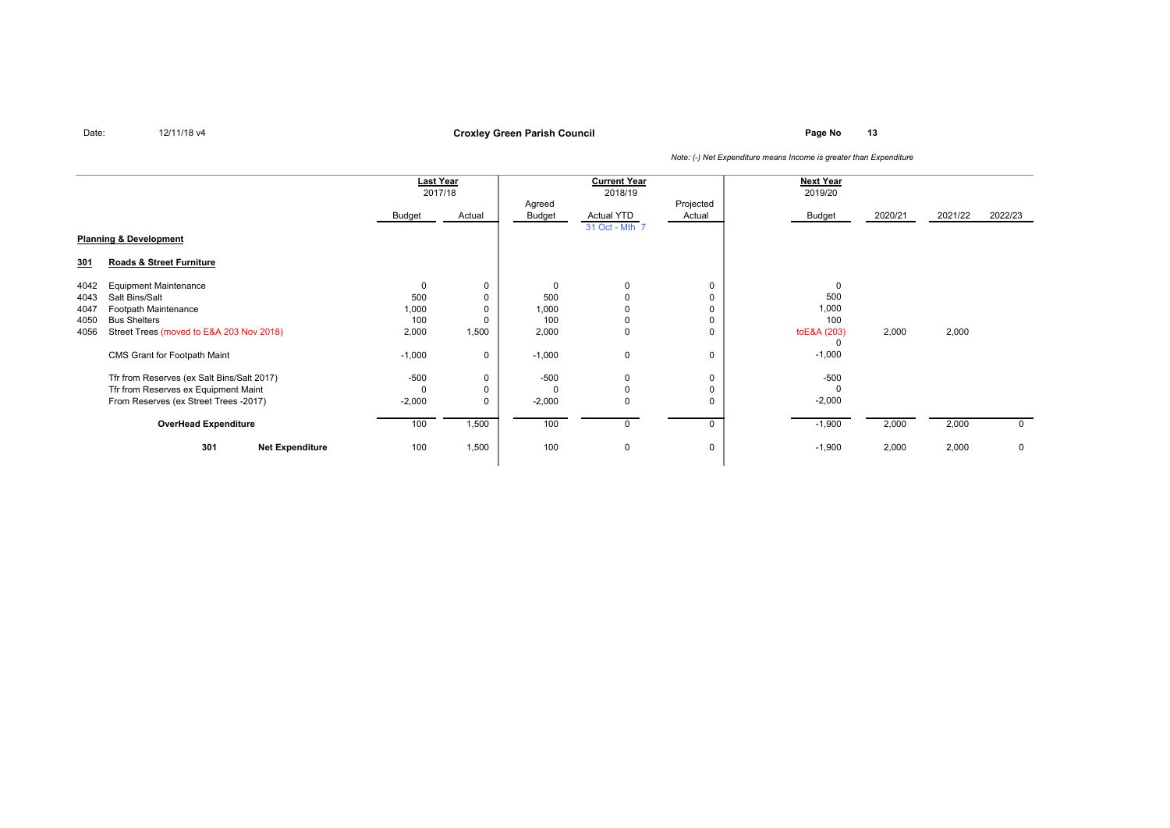**Page No <sup>13</sup> Croxley Green Parish Council**

|                                   |                                            | <b>Last Year</b> |        | <b>Current Year</b> |                |             | <b>Next Year</b> |         |         |              |
|-----------------------------------|--------------------------------------------|------------------|--------|---------------------|----------------|-------------|------------------|---------|---------|--------------|
|                                   |                                            | 2017/18          |        | 2018/19             |                |             | 2019/20          |         |         |              |
|                                   |                                            |                  |        | Agreed              |                | Projected   |                  |         |         |              |
|                                   |                                            | Budget           | Actual | Budget              | Actual YTD     | Actual      | Budget           | 2020/21 | 2021/22 | 2022/23      |
|                                   |                                            |                  |        |                     | 31 Oct - Mth 7 |             |                  |         |         |              |
| <b>Planning &amp; Development</b> |                                            |                  |        |                     |                |             |                  |         |         |              |
| 301                               | Roads & Street Furniture                   |                  |        |                     |                |             |                  |         |         |              |
| 4042                              | <b>Equipment Maintenance</b>               |                  | 0      | $\Omega$            | $\Omega$       | $\mathbf 0$ | $\mathbf 0$      |         |         |              |
| 4043                              | Salt Bins/Salt                             | 500              | 0      | 500                 | $\Omega$       | 0           | 500              |         |         |              |
| 4047                              | Footpath Maintenance                       | 1,000            | 0      | 1,000               | $\Omega$       | 0           | 1,000            |         |         |              |
| 4050                              | <b>Bus Shelters</b>                        | 100              |        | 100                 | $\Omega$       | 0           | 100              |         |         |              |
| 4056                              | Street Trees (moved to E&A 203 Nov 2018)   | 2,000            | 1,500  | 2,000               | $\mathbf 0$    | 0           | toE&A (203)      | 2,000   | 2,000   |              |
|                                   |                                            |                  |        |                     |                |             | 0                |         |         |              |
|                                   | CMS Grant for Footpath Maint               | $-1,000$         | 0      | $-1,000$            | $\mathbf 0$    | $\mathbf 0$ | $-1,000$         |         |         |              |
|                                   | Tfr from Reserves (ex Salt Bins/Salt 2017) | $-500$           | 0      | $-500$              | $\mathbf 0$    | 0           | $-500$           |         |         |              |
|                                   | Tfr from Reserves ex Equipment Maint       |                  | 0      |                     | $\Omega$       | 0           |                  |         |         |              |
|                                   | From Reserves (ex Street Trees -2017)      | $-2,000$         | 0      | $-2,000$            | $\Omega$       | 0           | $-2,000$         |         |         |              |
|                                   | <b>OverHead Expenditure</b>                | 100              | 1,500  | 100                 | $\Omega$       | $\Omega$    | $-1,900$         | 2,000   | 2,000   | $\mathbf{0}$ |
|                                   | 301<br><b>Net Expenditure</b>              | 100              | 1,500  | 100                 | $\mathbf{0}$   | 0           | $-1,900$         | 2,000   | 2,000   | 0            |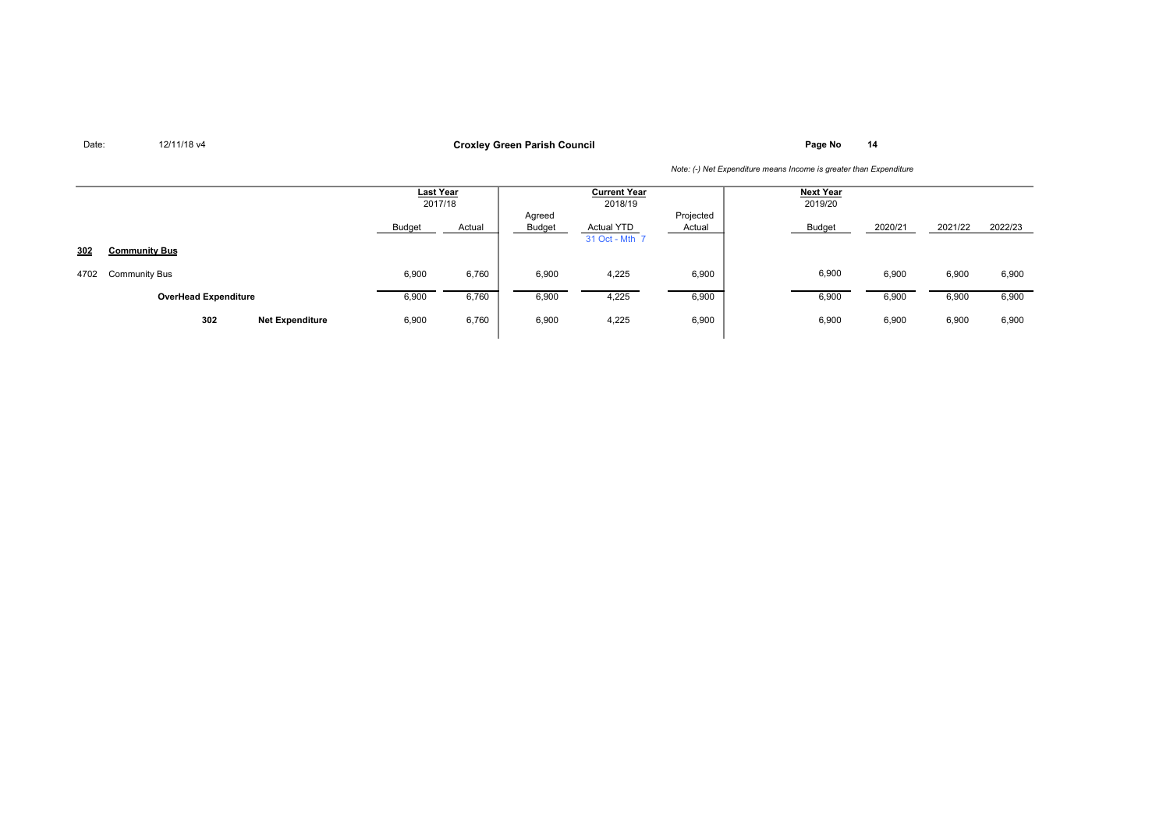**Page No <sup>14</sup> Croxley Green Parish Council**

|      |                               | Last Year<br>2017/18 |        | <b>Current Year</b><br>2018/19 |                                     |                     | Next Year<br>2019/20 |         |         |         |
|------|-------------------------------|----------------------|--------|--------------------------------|-------------------------------------|---------------------|----------------------|---------|---------|---------|
|      |                               | <b>Budget</b>        | Actual | Agreed<br><b>Budget</b>        | <b>Actual YTD</b><br>31 Oct - Mth 7 | Projected<br>Actual | Budget               | 2020/21 | 2021/22 | 2022/23 |
| 302  | <b>Community Bus</b>          |                      |        |                                |                                     |                     |                      |         |         |         |
| 4702 | <b>Community Bus</b>          | 6,900                | 6,760  | 6,900                          | 4,225                               | 6,900               | 6,900                | 6,900   | 6,900   | 6,900   |
|      | <b>OverHead Expenditure</b>   | 6,900                | 6,760  | 6,900                          | 4,225                               | 6,900               | 6,900                | 6,900   | 6,900   | 6,900   |
|      | 302<br><b>Net Expenditure</b> | 6,900                | 6,760  | 6,900                          | 4,225                               | 6,900               | 6,900                | 6,900   | 6,900   | 6,900   |